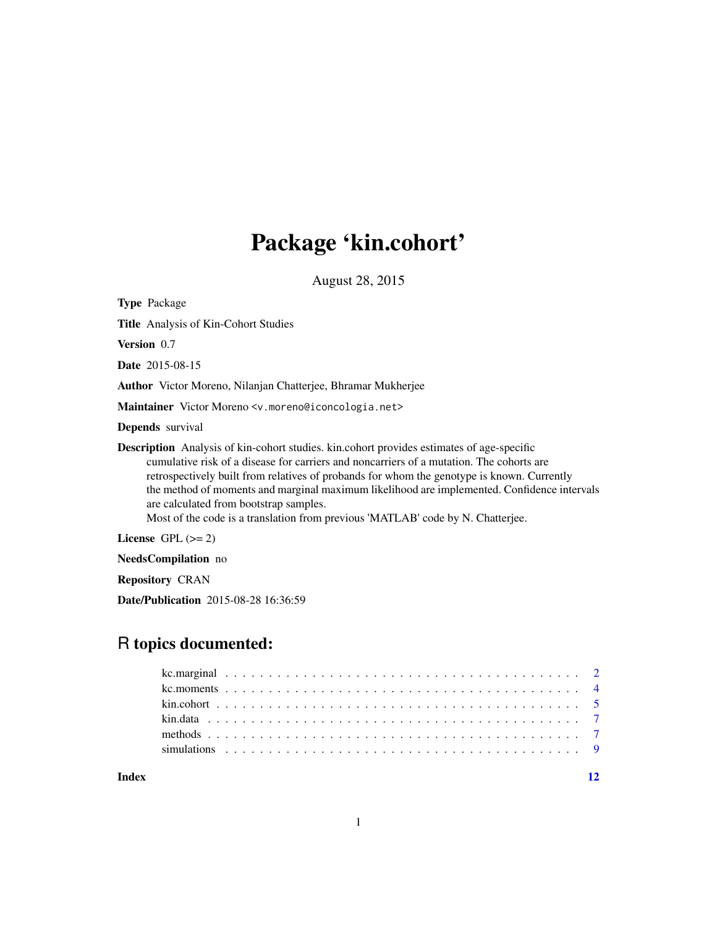# Package 'kin.cohort'

August 28, 2015

Type Package Title Analysis of Kin-Cohort Studies Version 0.7 Date 2015-08-15 Author Victor Moreno, Nilanjan Chatterjee, Bhramar Mukherjee Maintainer Victor Moreno <v.moreno@iconcologia.net> Depends survival Description Analysis of kin-cohort studies. kin.cohort provides estimates of age-specific cumulative risk of a disease for carriers and noncarriers of a mutation. The cohorts are retrospectively built from relatives of probands for whom the genotype is known. Currently the method of moments and marginal maximum likelihood are implemented. Confidence intervals are calculated from bootstrap samples. Most of the code is a translation from previous 'MATLAB' code by N. Chatterjee. License GPL  $(>= 2)$ 

NeedsCompilation no

Repository CRAN

Date/Publication 2015-08-28 16:36:59

# R topics documented:

**Index** [12](#page-11-0)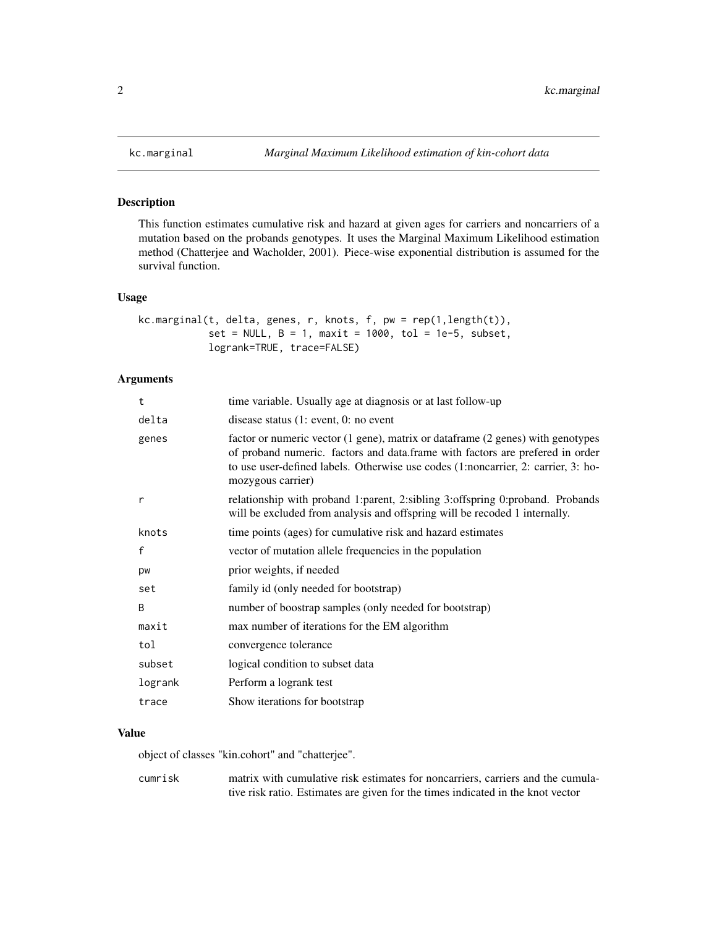### Description

This function estimates cumulative risk and hazard at given ages for carriers and noncarriers of a mutation based on the probands genotypes. It uses the Marginal Maximum Likelihood estimation method (Chatterjee and Wacholder, 2001). Piece-wise exponential distribution is assumed for the survival function.

# Usage

```
kc.marginal(t, delta, genes, r, knots, f, pw = rep(1,length(t)),
            set = NULL, B = 1, maxit = 1000, tol = 1e-5, subset,
            logrank=TRUE, trace=FALSE)
```
# Arguments

| t            | time variable. Usually age at diagnosis or at last follow-up                                                                                                                                                                                                               |
|--------------|----------------------------------------------------------------------------------------------------------------------------------------------------------------------------------------------------------------------------------------------------------------------------|
| delta        | disease status $(1: event, 0: no event)$                                                                                                                                                                                                                                   |
| genes        | factor or numeric vector (1 gene), matrix or dataframe (2 genes) with genotypes<br>of proband numeric. factors and data.frame with factors are prefered in order<br>to use user-defined labels. Otherwise use codes (1:noncarrier, 2: carrier, 3: ho-<br>mozygous carrier) |
| r            | relationship with proband 1:parent, 2:sibling 3:offspring 0:proband. Probands<br>will be excluded from analysis and offspring will be recoded 1 internally.                                                                                                                |
| knots        | time points (ages) for cumulative risk and hazard estimates                                                                                                                                                                                                                |
| $\mathsf{f}$ | vector of mutation allele frequencies in the population                                                                                                                                                                                                                    |
| pw           | prior weights, if needed                                                                                                                                                                                                                                                   |
| set          | family id (only needed for bootstrap)                                                                                                                                                                                                                                      |
| <sub>B</sub> | number of boostrap samples (only needed for bootstrap)                                                                                                                                                                                                                     |
| maxit        | max number of iterations for the EM algorithm                                                                                                                                                                                                                              |
| tol          | convergence tolerance                                                                                                                                                                                                                                                      |
| subset       | logical condition to subset data                                                                                                                                                                                                                                           |
| logrank      | Perform a logrank test                                                                                                                                                                                                                                                     |
| trace        | Show iterations for bootstrap                                                                                                                                                                                                                                              |
|              |                                                                                                                                                                                                                                                                            |

# Value

object of classes "kin.cohort" and "chatterjee".

cumrisk matrix with cumulative risk estimates for noncarriers, carriers and the cumulative risk ratio. Estimates are given for the times indicated in the knot vector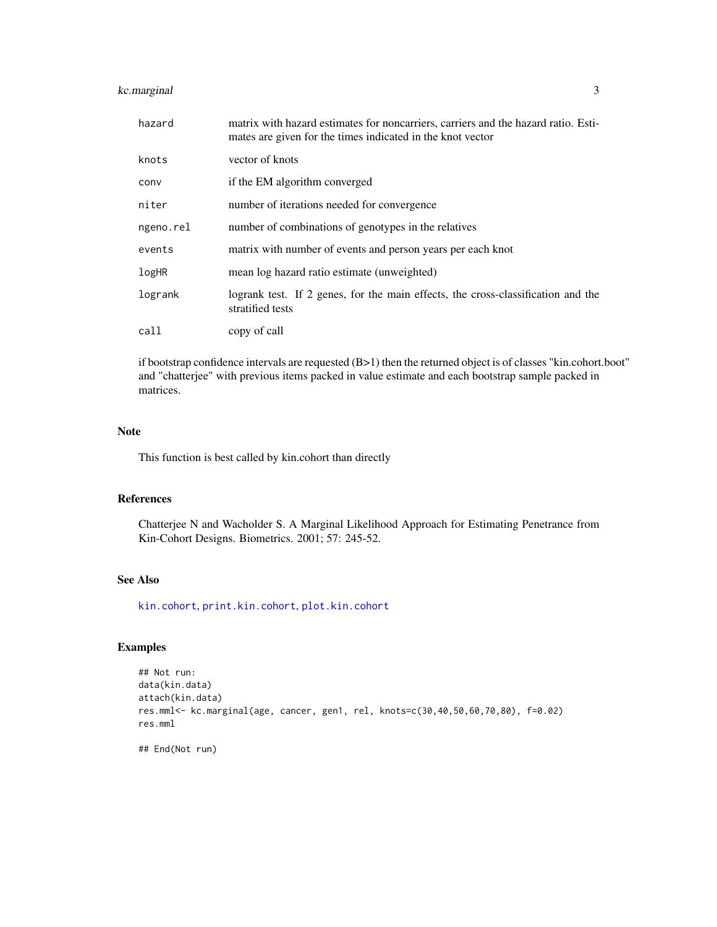# <span id="page-2-0"></span>kc.marginal 3

| hazard    | matrix with hazard estimates for noncarriers, carriers and the hazard ratio. Esti-<br>mates are given for the times indicated in the knot vector |
|-----------|--------------------------------------------------------------------------------------------------------------------------------------------------|
| knots     | vector of knots                                                                                                                                  |
| conv      | if the EM algorithm converged                                                                                                                    |
| niter     | number of iterations needed for convergence                                                                                                      |
| ngeno.rel | number of combinations of genotypes in the relatives                                                                                             |
| events    | matrix with number of events and person years per each knot                                                                                      |
| logHR     | mean log hazard ratio estimate (unweighted)                                                                                                      |
| logrank   | logrank test. If 2 genes, for the main effects, the cross-classification and the<br>stratified tests                                             |
| call      | copy of call                                                                                                                                     |

if bootstrap confidence intervals are requested (B>1) then the returned object is of classes "kin.cohort.boot" and "chatterjee" with previous items packed in value estimate and each bootstrap sample packed in matrices.

# Note

This function is best called by kin.cohort than directly

# References

Chatterjee N and Wacholder S. A Marginal Likelihood Approach for Estimating Penetrance from Kin-Cohort Designs. Biometrics. 2001; 57: 245-52.

# See Also

[kin.cohort](#page-4-1), [print.kin.cohort](#page-6-1), [plot.kin.cohort](#page-6-1)

# Examples

```
## Not run:
data(kin.data)
attach(kin.data)
res.mml<- kc.marginal(age, cancer, gen1, rel, knots=c(30,40,50,60,70,80), f=0.02)
res.mml
```
## End(Not run)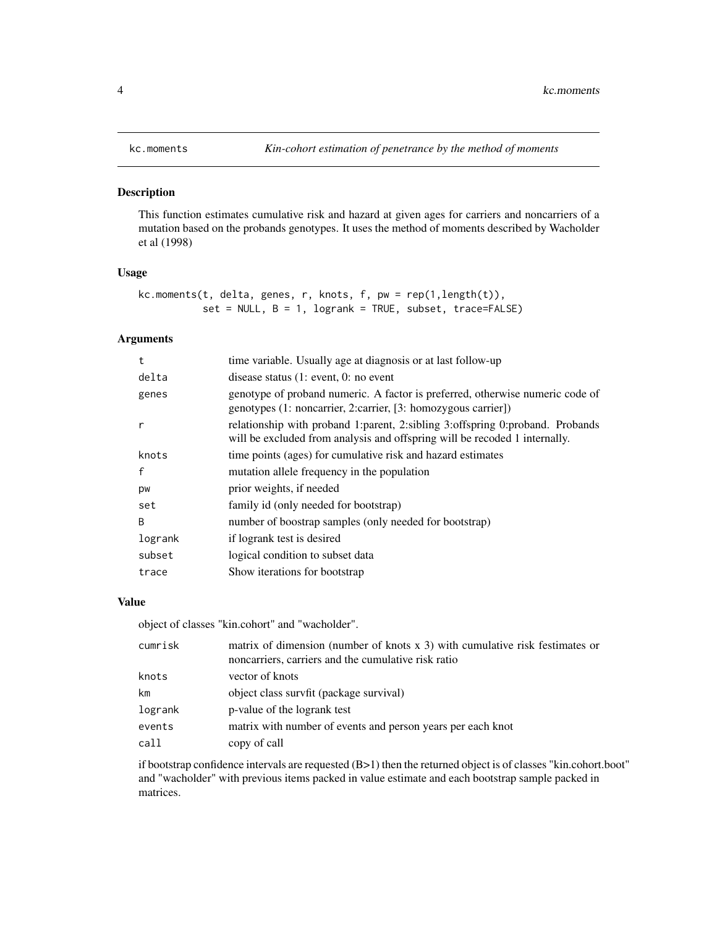# <span id="page-3-1"></span><span id="page-3-0"></span>Description

This function estimates cumulative risk and hazard at given ages for carriers and noncarriers of a mutation based on the probands genotypes. It uses the method of moments described by Wacholder et al (1998)

# Usage

```
kc.moments(t, delta, genes, r, knots, f, pw = rep(1,length(t)),
           set = NULL, B = 1, logrank = TRUE, subset, trace=FALSE)
```
# Arguments

| time variable. Usually age at diagnosis or at last follow-up                                                                                                |
|-------------------------------------------------------------------------------------------------------------------------------------------------------------|
| disease status $(1: event, 0: no event)$                                                                                                                    |
| genotype of proband numeric. A factor is preferred, otherwise numeric code of<br>genotypes (1: noncarrier, 2: carrier, [3: homozygous carrier])             |
| relationship with proband 1:parent, 2:sibling 3:offspring 0:proband. Probands<br>will be excluded from analysis and offspring will be recoded 1 internally. |
| time points (ages) for cumulative risk and hazard estimates                                                                                                 |
| mutation allele frequency in the population                                                                                                                 |
| prior weights, if needed                                                                                                                                    |
| family id (only needed for bootstrap)                                                                                                                       |
| number of boostrap samples (only needed for bootstrap)                                                                                                      |
| if logrank test is desired                                                                                                                                  |
| logical condition to subset data                                                                                                                            |
| Show iterations for bootstrap                                                                                                                               |
|                                                                                                                                                             |

# Value

object of classes "kin.cohort" and "wacholder".

| cumrisk | matrix of dimension (number of knots $x$ 3) with cumulative risk festimates or<br>noncarriers, carriers and the cumulative risk ratio |
|---------|---------------------------------------------------------------------------------------------------------------------------------------|
| knots   | vector of knots                                                                                                                       |
| km      | object class survfit (package survival)                                                                                               |
| logrank | p-value of the logrank test                                                                                                           |
| events  | matrix with number of events and person years per each knot                                                                           |
| call    | copy of call                                                                                                                          |

if bootstrap confidence intervals are requested (B>1) then the returned object is of classes "kin.cohort.boot" and "wacholder" with previous items packed in value estimate and each bootstrap sample packed in matrices.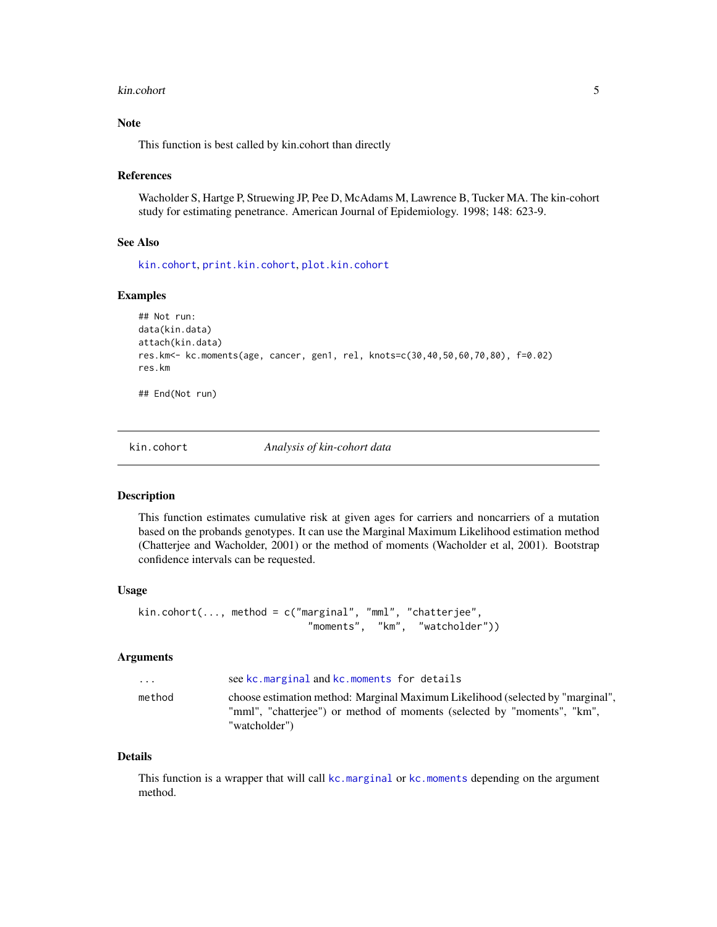#### <span id="page-4-0"></span>kin.cohort 5

# Note

This function is best called by kin.cohort than directly

#### References

Wacholder S, Hartge P, Struewing JP, Pee D, McAdams M, Lawrence B, Tucker MA. The kin-cohort study for estimating penetrance. American Journal of Epidemiology. 1998; 148: 623-9.

### See Also

[kin.cohort](#page-4-1), [print.kin.cohort](#page-6-1), [plot.kin.cohort](#page-6-1)

#### Examples

```
## Not run:
data(kin.data)
attach(kin.data)
res.km<- kc.moments(age, cancer, gen1, rel, knots=c(30,40,50,60,70,80), f=0.02)
res.km
```
## End(Not run)

<span id="page-4-1"></span>

kin.cohort *Analysis of kin-cohort data*

# Description

This function estimates cumulative risk at given ages for carriers and noncarriers of a mutation based on the probands genotypes. It can use the Marginal Maximum Likelihood estimation method (Chatterjee and Wacholder, 2001) or the method of moments (Wacholder et al, 2001). Bootstrap confidence intervals can be requested.

#### Usage

```
kin.cohort(..., method = c("marginal", "mml", "chatterjee",
                             "moments", "km", "watcholder"))
```
#### Arguments

| .      | see kc.marginal and kc.moments for details                                                                                                                                 |
|--------|----------------------------------------------------------------------------------------------------------------------------------------------------------------------------|
| method | choose estimation method: Marginal Maximum Likelihood (selected by "marginal",<br>"mml", "chatteriee") or method of moments (selected by "moments", "km",<br>"watcholder") |

#### Details

This function is a wrapper that will call [kc.marginal](#page-1-1) or [kc.moments](#page-3-1) depending on the argument method.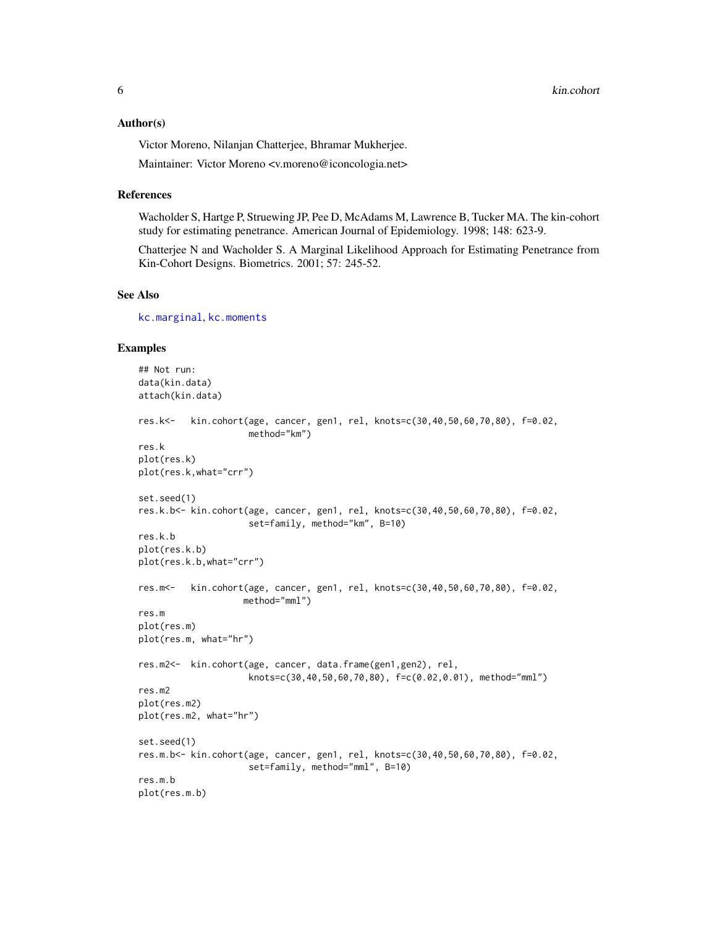#### <span id="page-5-0"></span>Author(s)

Victor Moreno, Nilanjan Chatterjee, Bhramar Mukherjee.

Maintainer: Victor Moreno <v.moreno@iconcologia.net>

#### References

Wacholder S, Hartge P, Struewing JP, Pee D, McAdams M, Lawrence B, Tucker MA. The kin-cohort study for estimating penetrance. American Journal of Epidemiology. 1998; 148: 623-9.

Chatterjee N and Wacholder S. A Marginal Likelihood Approach for Estimating Penetrance from Kin-Cohort Designs. Biometrics. 2001; 57: 245-52.

#### See Also

[kc.marginal](#page-1-1), [kc.moments](#page-3-1)

#### Examples

```
## Not run:
data(kin.data)
attach(kin.data)
res.k<- kin.cohort(age, cancer, gen1, rel, knots=c(30,40,50,60,70,80), f=0.02,
                     method="km")
res.k
plot(res.k)
plot(res.k,what="crr")
set.seed(1)
res.k.b<- kin.cohort(age, cancer, gen1, rel, knots=c(30,40,50,60,70,80), f=0.02,
                     set=family, method="km", B=10)
res.k.b
plot(res.k.b)
plot(res.k.b,what="crr")
res.m<- kin.cohort(age, cancer, gen1, rel, knots=c(30,40,50,60,70,80), f=0.02,
                    method="mml")
res.m
plot(res.m)
plot(res.m, what="hr")
res.m2<- kin.cohort(age, cancer, data.frame(gen1,gen2), rel,
                     knots=c(30,40,50,60,70,80), f=c(0.02,0.01), method="mml")
res.m2
plot(res.m2)
plot(res.m2, what="hr")
set.seed(1)
res.m.b<- kin.cohort(age, cancer, gen1, rel, knots=c(30,40,50,60,70,80), f=0.02,
                     set=family, method="mml", B=10)
res.m.b
plot(res.m.b)
```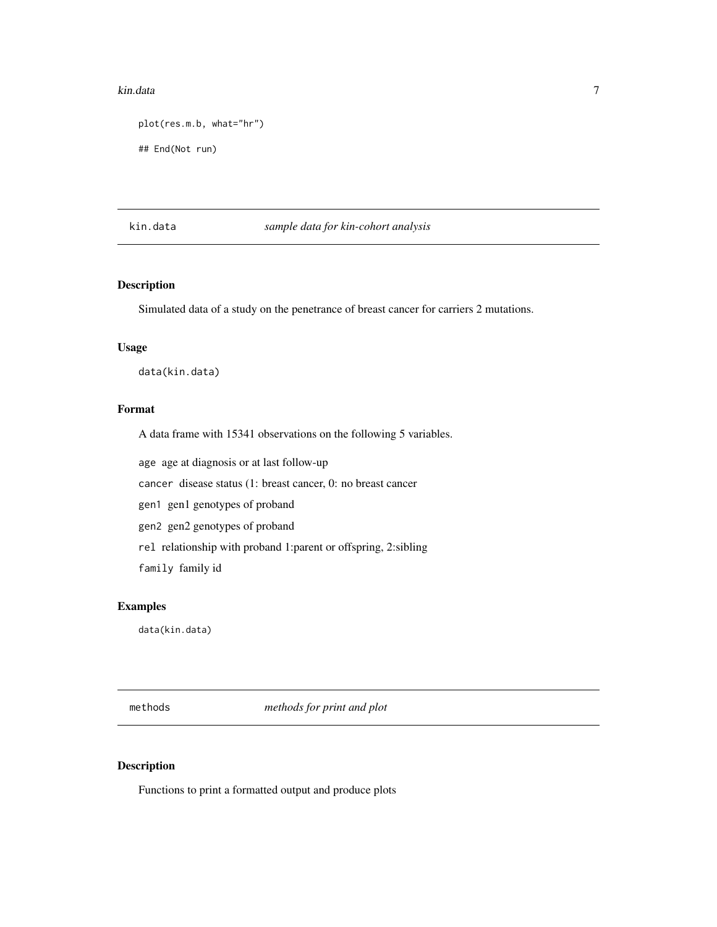#### <span id="page-6-0"></span>kin.data 7

```
plot(res.m.b, what="hr")
## End(Not run)
```
## kin.data *sample data for kin-cohort analysis*

# Description

Simulated data of a study on the penetrance of breast cancer for carriers 2 mutations.

# Usage

data(kin.data)

# Format

A data frame with 15341 observations on the following 5 variables.

age age at diagnosis or at last follow-up

cancer disease status (1: breast cancer, 0: no breast cancer

gen1 gen1 genotypes of proband

gen2 gen2 genotypes of proband

rel relationship with proband 1:parent or offspring, 2:sibling

family family id

# Examples

data(kin.data)

methods *methods for print and plot*

# <span id="page-6-1"></span>Description

Functions to print a formatted output and produce plots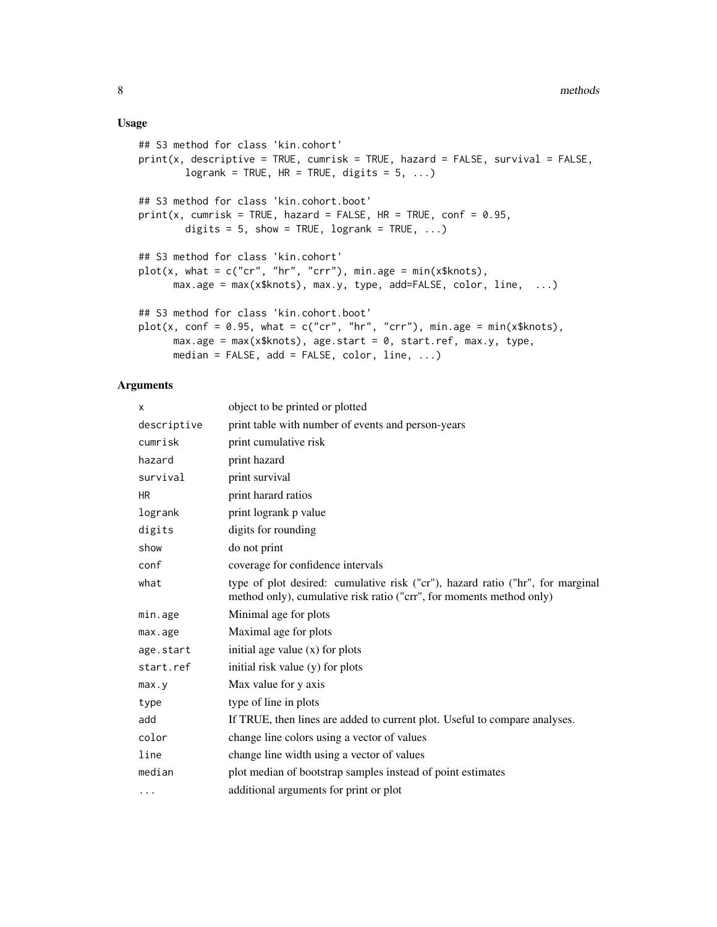#### Usage

```
## S3 method for class 'kin.cohort'
print(x, describe = TRUE, cumrisk = TRUE, hazard = FALSE, survival = FALSE,logrank = TRUE, HR = TRUE, digits = 5, ...)
## S3 method for class 'kin.cohort.boot'
print(x, \text{cumrisk} = \text{TRUE}, \text{ hazard} = \text{FALSE}, \text{ HR} = \text{TRUE}, \text{conf} = 0.95,digits = 5, show = TRUE, logrank = TRUE, ...)
## S3 method for class 'kin.cohort'
plot(x, what = c("cr", "hr", "crr"), min.age = min(x$knots),max.age = max(x$knots), max.y, type, add=False, color, line, ...)## S3 method for class 'kin.cohort.boot'
plot(x, conf = 0.95, what = c("cr", "hr", "crr"), min.age = min(x$knots),
      max.age = max(x$knots), age.start = 0, start.ref, max.y, type,
      median = FALSE, add = FALSE, color, line, \dots)
```
# Arguments

| X           | object to be printed or plotted                                                                                                                        |
|-------------|--------------------------------------------------------------------------------------------------------------------------------------------------------|
| descriptive | print table with number of events and person-years                                                                                                     |
| cumrisk     | print cumulative risk                                                                                                                                  |
| hazard      | print hazard                                                                                                                                           |
| survival    | print survival                                                                                                                                         |
| HR          | print harard ratios                                                                                                                                    |
| logrank     | print logrank p value                                                                                                                                  |
| digits      | digits for rounding                                                                                                                                    |
| show        | do not print                                                                                                                                           |
| conf        | coverage for confidence intervals                                                                                                                      |
| what        | type of plot desired: cumulative risk ("cr"), hazard ratio ("hr", for marginal<br>method only), cumulative risk ratio ("crr", for moments method only) |
| min.age     | Minimal age for plots                                                                                                                                  |
| max.age     | Maximal age for plots                                                                                                                                  |
| age.start   | initial age value $(x)$ for plots                                                                                                                      |
| start.ref   | initial risk value (y) for plots                                                                                                                       |
| max. y      | Max value for y axis                                                                                                                                   |
| type        | type of line in plots                                                                                                                                  |
| add         | If TRUE, then lines are added to current plot. Useful to compare analyses.                                                                             |
| color       | change line colors using a vector of values                                                                                                            |
| line        | change line width using a vector of values                                                                                                             |
| median      | plot median of bootstrap samples instead of point estimates                                                                                            |
| $\cdots$    | additional arguments for print or plot                                                                                                                 |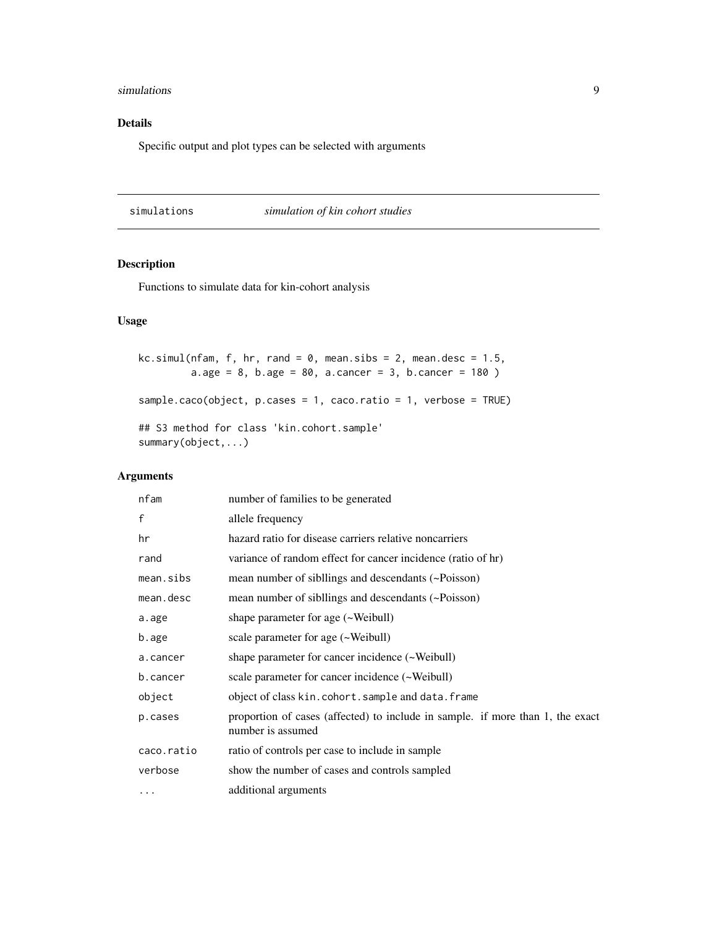#### <span id="page-8-0"></span>simulations **9**

# Details

Specific output and plot types can be selected with arguments

simulations *simulation of kin cohort studies*

# Description

Functions to simulate data for kin-cohort analysis

# Usage

```
kc.simul(nfam, f, hr, rand = 0, mean.sibs = 2, mean.desc = 1.5,
         a \cdot age = 8, b \cdot age = 80, a \cdot cancer = 3, b \cdot cancer = 180)
sample.caco(object, p.cases = 1, caco.ratio = 1, verbose = TRUE)
## S3 method for class 'kin.cohort.sample'
summary(object,...)
```
# Arguments

| nfam       | number of families to be generated                                                                  |
|------------|-----------------------------------------------------------------------------------------------------|
| f          | allele frequency                                                                                    |
| hr         | hazard ratio for disease carriers relative noncarriers                                              |
| rand       | variance of random effect for cancer incidence (ratio of hr)                                        |
| mean.sibs  | mean number of sibilings and descendants (~Poisson)                                                 |
| mean.desc  | mean number of sibilings and descendants (~Poisson)                                                 |
| a.age      | shape parameter for age (~Weibull)                                                                  |
| b.age      | scale parameter for age (~Weibull)                                                                  |
| a.cancer   | shape parameter for cancer incidence (~Weibull)                                                     |
| b.cancer   | scale parameter for cancer incidence (~Weibull)                                                     |
| object     | object of class kin.cohort.sample and data.frame                                                    |
| p.cases    | proportion of cases (affected) to include in sample. if more than 1, the exact<br>number is assumed |
| caco.ratio | ratio of controls per case to include in sample                                                     |
| verbose    | show the number of cases and controls sampled                                                       |
| $\cdots$   | additional arguments                                                                                |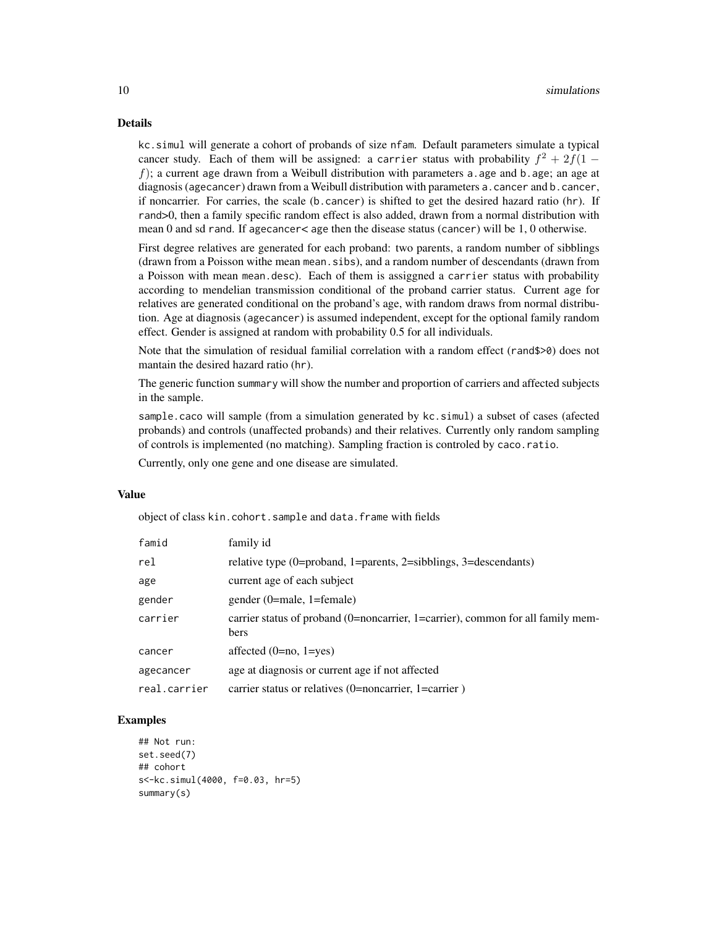# Details

kc.simul will generate a cohort of probands of size nfam. Default parameters simulate a typical cancer study. Each of them will be assigned: a carrier status with probability  $f^2 + 2f(1$ f); a current age drawn from a Weibull distribution with parameters a age and b age; an age at diagnosis (agecancer) drawn from a Weibull distribution with parameters a.cancer and b.cancer, if noncarrier. For carries, the scale (b.cancer) is shifted to get the desired hazard ratio (hr). If rand>0, then a family specific random effect is also added, drawn from a normal distribution with mean 0 and sd rand. If agecancer< age then the disease status (cancer) will be 1, 0 otherwise.

First degree relatives are generated for each proband: two parents, a random number of sibblings (drawn from a Poisson withe mean mean.sibs), and a random number of descendants (drawn from a Poisson with mean mean.desc). Each of them is assiggned a carrier status with probability according to mendelian transmission conditional of the proband carrier status. Current age for relatives are generated conditional on the proband's age, with random draws from normal distribution. Age at diagnosis (agecancer) is assumed independent, except for the optional family random effect. Gender is assigned at random with probability 0.5 for all individuals.

Note that the simulation of residual familial correlation with a random effect (rand\$>0) does not mantain the desired hazard ratio (hr).

The generic function summary will show the number and proportion of carriers and affected subjects in the sample.

sample.caco will sample (from a simulation generated by kc.simul) a subset of cases (afected probands) and controls (unaffected probands) and their relatives. Currently only random sampling of controls is implemented (no matching). Sampling fraction is controled by caco.ratio.

Currently, only one gene and one disease are simulated.

# Value

object of class kin.cohort.sample and data.frame with fields

| famid        | family id                                                                               |
|--------------|-----------------------------------------------------------------------------------------|
| rel          | relative type (0=proband, 1=parents, 2=sibblings, 3=descendants)                        |
| age          | current age of each subject                                                             |
| gender       | gender (0=male, 1=female)                                                               |
| carrier      | carrier status of proband (0=noncarrier, 1=carrier), common for all family mem-<br>bers |
| cancer       | affected $(0=no, 1=yes)$                                                                |
| agecancer    | age at diagnosis or current age if not affected                                         |
| real.carrier | carrier status or relatives (0=noncarrier, 1=carrier)                                   |

# Examples

```
## Not run:
set.seed(7)
## cohort
s<-kc.simul(4000, f=0.03, hr=5)
summary(s)
```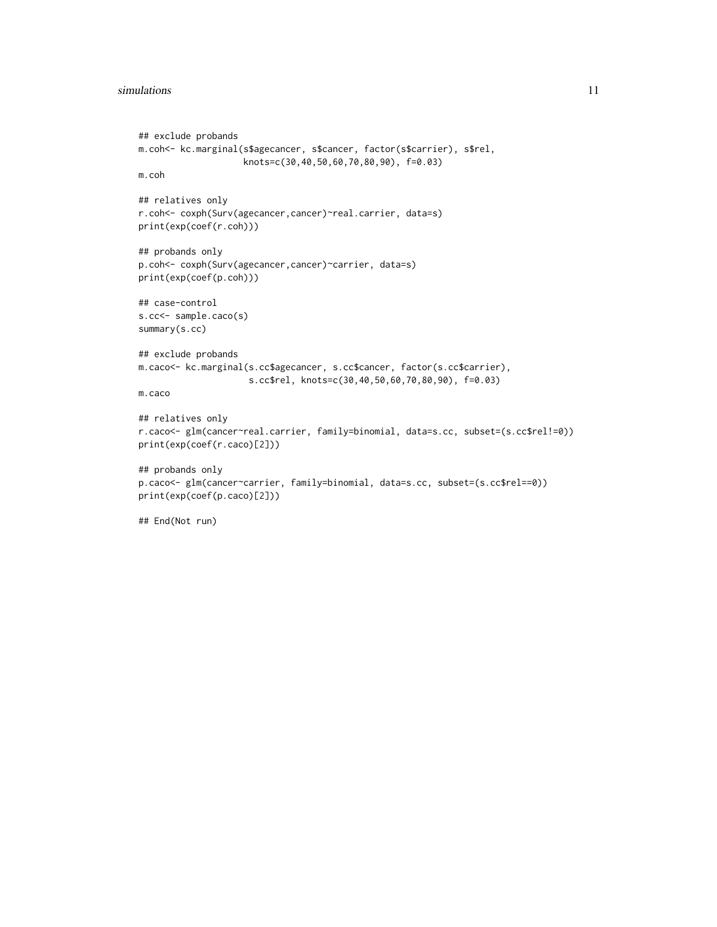#### simulations and the state of the state of the state of the state of the state of the state of the state of the state of the state of the state of the state of the state of the state of the state of the state of the state o

```
## exclude probands
m.coh<- kc.marginal(s$agecancer, s$cancer, factor(s$carrier), s$rel,
                    knots=c(30,40,50,60,70,80,90), f=0.03)
m.coh
## relatives only
r.coh<- coxph(Surv(agecancer,cancer)~real.carrier, data=s)
print(exp(coef(r.coh)))
## probands only
p.coh<- coxph(Surv(agecancer,cancer)~carrier, data=s)
print(exp(coef(p.coh)))
## case-control
s.cc<- sample.caco(s)
summary(s.cc)
## exclude probands
m.caco<- kc.marginal(s.cc$agecancer, s.cc$cancer, factor(s.cc$carrier),
                     s.cc$rel, knots=c(30,40,50,60,70,80,90), f=0.03)
m.caco
## relatives only
r.caco<- glm(cancer~real.carrier, family=binomial, data=s.cc, subset=(s.cc$rel!=0))
print(exp(coef(r.caco)[2]))
## probands only
p.caco<- glm(cancer~carrier, family=binomial, data=s.cc, subset=(s.cc$rel==0))
print(exp(coef(p.caco)[2]))
## End(Not run)
```